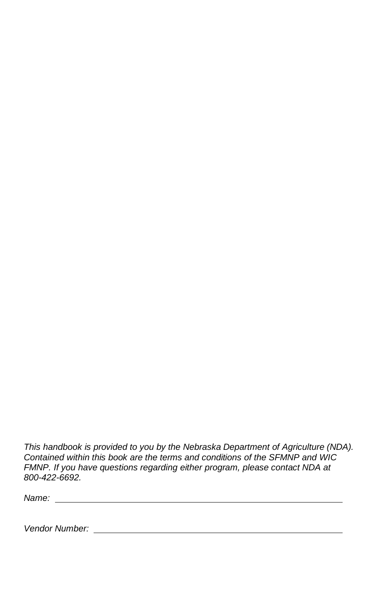*This handbook is provided to you by the Nebraska Department of Agriculture (NDA). Contained within this book are the terms and conditions of the SFMNP and WIC FMNP. If you have questions regarding either program, please contact NDA at 800-422-6692.*

*Name:* 

*Vendor Number:*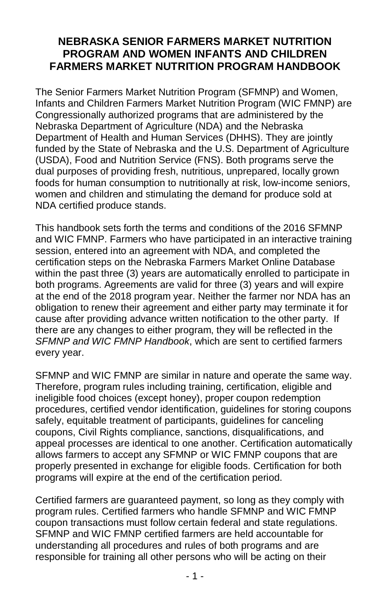## **NEBRASKA SENIOR FARMERS MARKET NUTRITION PROGRAM AND WOMEN INFANTS AND CHILDREN FARMERS MARKET NUTRITION PROGRAM HANDBOOK**

The Senior Farmers Market Nutrition Program (SFMNP) and Women, Infants and Children Farmers Market Nutrition Program (WIC FMNP) are Congressionally authorized programs that are administered by the Nebraska Department of Agriculture (NDA) and the Nebraska Department of Health and Human Services (DHHS). They are jointly funded by the State of Nebraska and the U.S. Department of Agriculture (USDA), Food and Nutrition Service (FNS). Both programs serve the dual purposes of providing fresh, nutritious, unprepared, locally grown foods for human consumption to nutritionally at risk, low-income seniors, women and children and stimulating the demand for produce sold at NDA certified produce stands.

This handbook sets forth the terms and conditions of the 2016 SFMNP and WIC FMNP. Farmers who have participated in an interactive training session, entered into an agreement with NDA, and completed the certification steps on the Nebraska Farmers Market Online Database within the past three (3) years are automatically enrolled to participate in both programs. Agreements are valid for three (3) years and will expire at the end of the 2018 program year. Neither the farmer nor NDA has an obligation to renew their agreement and either party may terminate it for cause after providing advance written notification to the other party. If there are any changes to either program, they will be reflected in the *SFMNP and WIC FMNP Handbook*, which are sent to certified farmers every year.

SFMNP and WIC FMNP are similar in nature and operate the same way. Therefore, program rules including training, certification, eligible and ineligible food choices (except honey), proper coupon redemption procedures, certified vendor identification, guidelines for storing coupons safely, equitable treatment of participants, guidelines for canceling coupons, Civil Rights compliance, sanctions, disqualifications, and appeal processes are identical to one another. Certification automatically allows farmers to accept any SFMNP or WIC FMNP coupons that are properly presented in exchange for eligible foods. Certification for both programs will expire at the end of the certification period.

Certified farmers are guaranteed payment, so long as they comply with program rules. Certified farmers who handle SFMNP and WIC FMNP coupon transactions must follow certain federal and state regulations. SFMNP and WIC FMNP certified farmers are held accountable for understanding all procedures and rules of both programs and are responsible for training all other persons who will be acting on their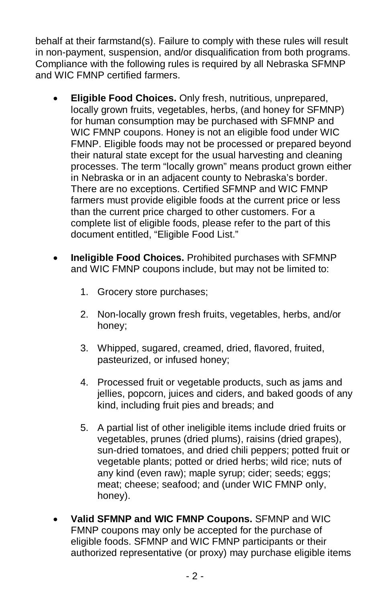behalf at their farmstand(s). Failure to comply with these rules will result in non-payment, suspension, and/or disqualification from both programs. Compliance with the following rules is required by all Nebraska SFMNP and WIC FMNP certified farmers.

- **Eligible Food Choices.** Only fresh, nutritious, unprepared, locally grown fruits, vegetables, herbs, (and honey for SFMNP) for human consumption may be purchased with SFMNP and WIC FMNP coupons. Honey is not an eligible food under WIC FMNP. Eligible foods may not be processed or prepared beyond their natural state except for the usual harvesting and cleaning processes. The term "locally grown" means product grown either in Nebraska or in an adjacent county to Nebraska's border. There are no exceptions. Certified SFMNP and WIC FMNP farmers must provide eligible foods at the current price or less than the current price charged to other customers. For a complete list of eligible foods, please refer to the part of this document entitled, "Eligible Food List."
- **Ineligible Food Choices.** Prohibited purchases with SFMNP and WIC FMNP coupons include, but may not be limited to:
	- 1. Grocery store purchases;
	- 2. Non-locally grown fresh fruits, vegetables, herbs, and/or honey;
	- 3. Whipped, sugared, creamed, dried, flavored, fruited, pasteurized, or infused honey;
	- 4. Processed fruit or vegetable products, such as jams and jellies, popcorn, juices and ciders, and baked goods of any kind, including fruit pies and breads; and
	- 5. A partial list of other ineligible items include dried fruits or vegetables, prunes (dried plums), raisins (dried grapes), sun-dried tomatoes, and dried chili peppers; potted fruit or vegetable plants; potted or dried herbs; wild rice; nuts of any kind (even raw); maple syrup; cider; seeds; eggs; meat; cheese; seafood; and (under WIC FMNP only, honey).
- **Valid SFMNP and WIC FMNP Coupons.** SFMNP and WIC FMNP coupons may only be accepted for the purchase of eligible foods. SFMNP and WIC FMNP participants or their authorized representative (or proxy) may purchase eligible items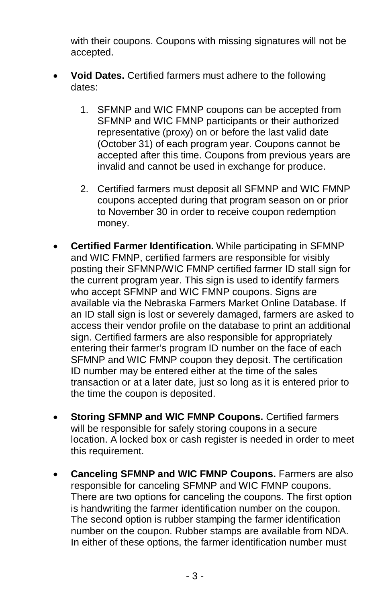with their coupons. Coupons with missing signatures will not be accepted.

- **Void Dates.** Certified farmers must adhere to the following dates:
	- 1. SFMNP and WIC FMNP coupons can be accepted from SFMNP and WIC FMNP participants or their authorized representative (proxy) on or before the last valid date (October 31) of each program year. Coupons cannot be accepted after this time. Coupons from previous years are invalid and cannot be used in exchange for produce.
	- 2. Certified farmers must deposit all SFMNP and WIC FMNP coupons accepted during that program season on or prior to November 30 in order to receive coupon redemption money.
- **Certified Farmer Identification.** While participating in SFMNP and WIC FMNP, certified farmers are responsible for visibly posting their SFMNP/WIC FMNP certified farmer ID stall sign for the current program year. This sign is used to identify farmers who accept SFMNP and WIC FMNP coupons. Signs are available via the Nebraska Farmers Market Online Database. If an ID stall sign is lost or severely damaged, farmers are asked to access their vendor profile on the database to print an additional sign. Certified farmers are also responsible for appropriately entering their farmer's program ID number on the face of each SFMNP and WIC FMNP coupon they deposit. The certification ID number may be entered either at the time of the sales transaction or at a later date, just so long as it is entered prior to the time the coupon is deposited.
- **Storing SFMNP and WIC FMNP Coupons.** Certified farmers will be responsible for safely storing coupons in a secure location. A locked box or cash register is needed in order to meet this requirement.
- **Canceling SFMNP and WIC FMNP Coupons.** Farmers are also responsible for canceling SFMNP and WIC FMNP coupons. There are two options for canceling the coupons. The first option is handwriting the farmer identification number on the coupon. The second option is rubber stamping the farmer identification number on the coupon. Rubber stamps are available from NDA. In either of these options, the farmer identification number must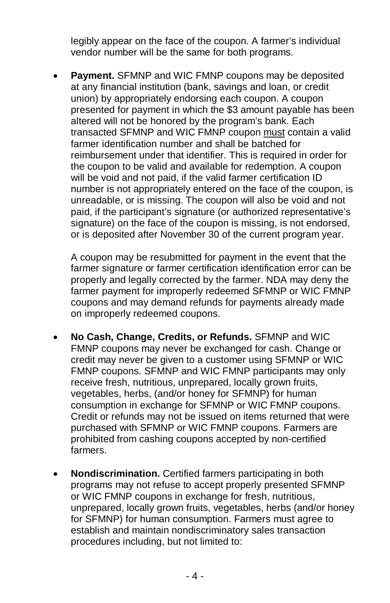legibly appear on the face of the coupon. A farmer's individual vendor number will be the same for both programs.

• **Payment.** SFMNP and WIC FMNP coupons may be deposited at any financial institution (bank, savings and loan, or credit union) by appropriately endorsing each coupon. A coupon presented for payment in which the \$3 amount payable has been altered will not be honored by the program's bank. Each transacted SFMNP and WIC FMNP coupon must contain a valid farmer identification number and shall be batched for reimbursement under that identifier. This is required in order for the coupon to be valid and available for redemption. A coupon will be void and not paid, if the valid farmer certification ID number is not appropriately entered on the face of the coupon, is unreadable, or is missing. The coupon will also be void and not paid, if the participant's signature (or authorized representative's signature) on the face of the coupon is missing, is not endorsed, or is deposited after November 30 of the current program year.

A coupon may be resubmitted for payment in the event that the farmer signature or farmer certification identification error can be properly and legally corrected by the farmer. NDA may deny the farmer payment for improperly redeemed SFMNP or WIC FMNP coupons and may demand refunds for payments already made on improperly redeemed coupons.

- **No Cash, Change, Credits, or Refunds.** SFMNP and WIC FMNP coupons may never be exchanged for cash. Change or credit may never be given to a customer using SFMNP or WIC FMNP coupons. SFMNP and WIC FMNP participants may only receive fresh, nutritious, unprepared, locally grown fruits, vegetables, herbs, (and/or honey for SFMNP) for human consumption in exchange for SFMNP or WIC FMNP coupons. Credit or refunds may not be issued on items returned that were purchased with SFMNP or WIC FMNP coupons. Farmers are prohibited from cashing coupons accepted by non-certified farmers.
- **Nondiscrimination.** Certified farmers participating in both programs may not refuse to accept properly presented SFMNP or WIC FMNP coupons in exchange for fresh, nutritious, unprepared, locally grown fruits, vegetables, herbs (and/or honey for SFMNP) for human consumption. Farmers must agree to establish and maintain nondiscriminatory sales transaction procedures including, but not limited to: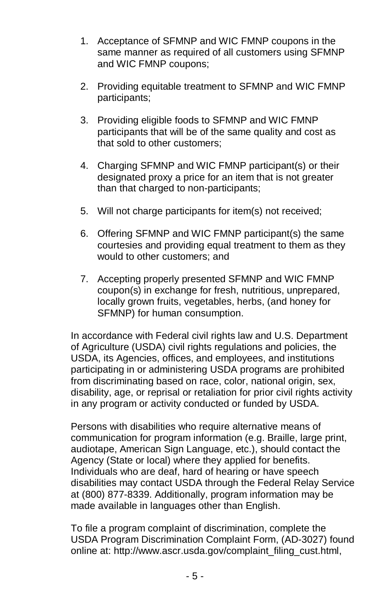- 1. Acceptance of SFMNP and WIC FMNP coupons in the same manner as required of all customers using SFMNP and WIC FMNP coupons;
- 2. Providing equitable treatment to SFMNP and WIC FMNP participants;
- 3. Providing eligible foods to SFMNP and WIC FMNP participants that will be of the same quality and cost as that sold to other customers;
- 4. Charging SFMNP and WIC FMNP participant(s) or their designated proxy a price for an item that is not greater than that charged to non-participants;
- 5. Will not charge participants for item(s) not received;
- 6. Offering SFMNP and WIC FMNP participant(s) the same courtesies and providing equal treatment to them as they would to other customers; and
- 7. Accepting properly presented SFMNP and WIC FMNP coupon(s) in exchange for fresh, nutritious, unprepared, locally grown fruits, vegetables, herbs, (and honey for SFMNP) for human consumption.

In accordance with Federal civil rights law and U.S. Department of Agriculture (USDA) civil rights regulations and policies, the USDA, its Agencies, offices, and employees, and institutions participating in or administering USDA programs are prohibited from discriminating based on race, color, national origin, sex, disability, age, or reprisal or retaliation for prior civil rights activity in any program or activity conducted or funded by USDA.

Persons with disabilities who require alternative means of communication for program information (e.g. Braille, large print, audiotape, American Sign Language, etc.), should contact the Agency (State or local) where they applied for benefits. Individuals who are deaf, hard of hearing or have speech disabilities may contact USDA through the Federal Relay Service at (800) 877-8339. Additionally, program information may be made available in languages other than English.

To file a program complaint of discrimination, complete the USDA Program Discrimination Complaint Form, (AD-3027) found online at: http://www.ascr.usda.gov/complaint\_filing\_cust.html,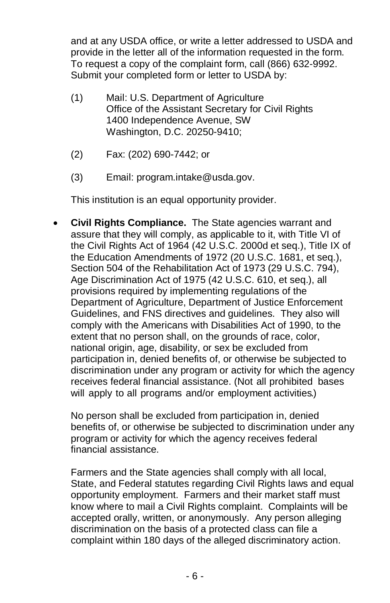and at any USDA office, or write a letter addressed to USDA and provide in the letter all of the information requested in the form. To request a copy of the complaint form, call (866) 632-9992. Submit your completed form or letter to USDA by:

- (1) Mail: U.S. Department of Agriculture Office of the Assistant Secretary for Civil Rights 1400 Independence Avenue, SW Washington, D.C. 20250-9410;
- (2) Fax: (202) 690-7442; or
- (3) Email: program.intake@usda.gov.

This institution is an equal opportunity provider.

• **Civil Rights Compliance.** The State agencies warrant and assure that they will comply, as applicable to it, with Title VI of the Civil Rights Act of 1964 (42 U.S.C. 2000d et seq.), Title IX of the Education Amendments of 1972 (20 U.S.C. 1681, et seq.), Section 504 of the Rehabilitation Act of 1973 (29 U.S.C. 794), Age Discrimination Act of 1975 (42 U.S.C. 610, et seq.), all provisions required by implementing regulations of the Department of Agriculture, Department of Justice Enforcement Guidelines, and FNS directives and guidelines. They also will comply with the Americans with Disabilities Act of 1990, to the extent that no person shall, on the grounds of race, color, national origin, age, disability, or sex be excluded from participation in, denied benefits of, or otherwise be subjected to discrimination under any program or activity for which the agency receives federal financial assistance. (Not all prohibited bases will apply to all programs and/or employment activities.)

No person shall be excluded from participation in, denied benefits of, or otherwise be subjected to discrimination under any program or activity for which the agency receives federal financial assistance.

Farmers and the State agencies shall comply with all local, State, and Federal statutes regarding Civil Rights laws and equal opportunity employment. Farmers and their market staff must know where to mail a Civil Rights complaint. Complaints will be accepted orally, written, or anonymously. Any person alleging discrimination on the basis of a protected class can file a complaint within 180 days of the alleged discriminatory action.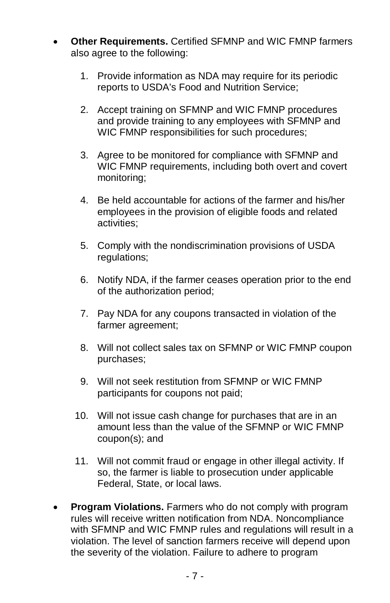- **Other Requirements.** Certified SFMNP and WIC FMNP farmers also agree to the following:
	- 1. Provide information as NDA may require for its periodic reports to USDA's Food and Nutrition Service;
	- 2. Accept training on SFMNP and WIC FMNP procedures and provide training to any employees with SFMNP and WIC FMNP responsibilities for such procedures;
	- 3. Agree to be monitored for compliance with SFMNP and WIC FMNP requirements, including both overt and covert monitoring;
	- 4. Be held accountable for actions of the farmer and his/her employees in the provision of eligible foods and related activities;
	- 5. Comply with the nondiscrimination provisions of USDA regulations;
	- 6. Notify NDA, if the farmer ceases operation prior to the end of the authorization period;
	- 7. Pay NDA for any coupons transacted in violation of the farmer agreement;
	- 8. Will not collect sales tax on SFMNP or WIC FMNP coupon purchases;
	- 9. Will not seek restitution from SFMNP or WIC FMNP participants for coupons not paid;
	- 10. Will not issue cash change for purchases that are in an amount less than the value of the SFMNP or WIC FMNP coupon(s); and
	- 11. Will not commit fraud or engage in other illegal activity. If so, the farmer is liable to prosecution under applicable Federal, State, or local laws.
- **Program Violations.** Farmers who do not comply with program rules will receive written notification from NDA. Noncompliance with SFMNP and WIC FMNP rules and regulations will result in a violation. The level of sanction farmers receive will depend upon the severity of the violation. Failure to adhere to program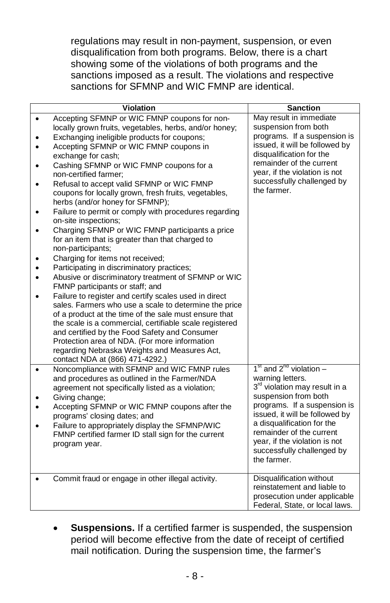regulations may result in non-payment, suspension, or even disqualification from both programs. Below, there is a chart showing some of the violations of both programs and the sanctions imposed as a result. The violations and respective sanctions for SFMNP and WIC FMNP are identical.

| <b>Violation</b>                                                                                                                                                                                                                                                                                                                                                                                                                                                                                                                                                                                                                                                                                                                                                                                                                                                                                                                                                                                                                                                                                                                                                                                                                                                        | <b>Sanction</b>                                                                                                                                                                                                                                                                                                                |
|-------------------------------------------------------------------------------------------------------------------------------------------------------------------------------------------------------------------------------------------------------------------------------------------------------------------------------------------------------------------------------------------------------------------------------------------------------------------------------------------------------------------------------------------------------------------------------------------------------------------------------------------------------------------------------------------------------------------------------------------------------------------------------------------------------------------------------------------------------------------------------------------------------------------------------------------------------------------------------------------------------------------------------------------------------------------------------------------------------------------------------------------------------------------------------------------------------------------------------------------------------------------------|--------------------------------------------------------------------------------------------------------------------------------------------------------------------------------------------------------------------------------------------------------------------------------------------------------------------------------|
| Accepting SFMNP or WIC FMNP coupons for non-<br>$\bullet$<br>locally grown fruits, vegetables, herbs, and/or honey;<br>Exchanging ineligible products for coupons;<br>Accepting SFMNP or WIC FMNP coupons in<br>exchange for cash;<br>Cashing SFMNP or WIC FMNP coupons for a<br>non-certified farmer:<br>Refusal to accept valid SFMNP or WIC FMNP<br>coupons for locally grown, fresh fruits, vegetables,<br>herbs (and/or honey for SFMNP);<br>Failure to permit or comply with procedures regarding<br>on-site inspections;<br>Charging SFMNP or WIC FMNP participants a price<br>٠<br>for an item that is greater than that charged to<br>non-participants;<br>Charging for items not received;<br>Participating in discriminatory practices;<br>Abusive or discriminatory treatment of SFMNP or WIC<br>FMNP participants or staff; and<br>Failure to register and certify scales used in direct<br>sales. Farmers who use a scale to determine the price<br>of a product at the time of the sale must ensure that<br>the scale is a commercial, certifiable scale registered<br>and certified by the Food Safety and Consumer<br>Protection area of NDA. (For more information<br>regarding Nebraska Weights and Measures Act,<br>contact NDA at (866) 471-4292.) | May result in immediate<br>suspension from both<br>programs. If a suspension is<br>issued, it will be followed by<br>disqualification for the<br>remainder of the current<br>year, if the violation is not<br>successfully challenged by<br>the farmer.                                                                        |
| Noncompliance with SFMNP and WIC FMNP rules<br>$\bullet$<br>and procedures as outlined in the Farmer/NDA<br>agreement not specifically listed as a violation;<br>Giving change;<br>Accepting SFMNP or WIC FMNP coupons after the<br>programs' closing dates; and<br>Failure to appropriately display the SFMNP/WIC<br>FMNP certified farmer ID stall sign for the current<br>program year.                                                                                                                                                                                                                                                                                                                                                                                                                                                                                                                                                                                                                                                                                                                                                                                                                                                                              | $1st$ and $2nd$ violation –<br>warning letters.<br>3 <sup>rd</sup> violation may result in a<br>suspension from both<br>programs. If a suspension is<br>issued, it will be followed by<br>a disqualification for the<br>remainder of the current<br>year, if the violation is not<br>successfully challenged by<br>the farmer. |
| Commit fraud or engage in other illegal activity.                                                                                                                                                                                                                                                                                                                                                                                                                                                                                                                                                                                                                                                                                                                                                                                                                                                                                                                                                                                                                                                                                                                                                                                                                       | Disqualification without<br>reinstatement and liable to<br>prosecution under applicable<br>Federal, State, or local laws.                                                                                                                                                                                                      |

• **Suspensions.** If a certified farmer is suspended, the suspension period will become effective from the date of receipt of certified mail notification. During the suspension time, the farmer's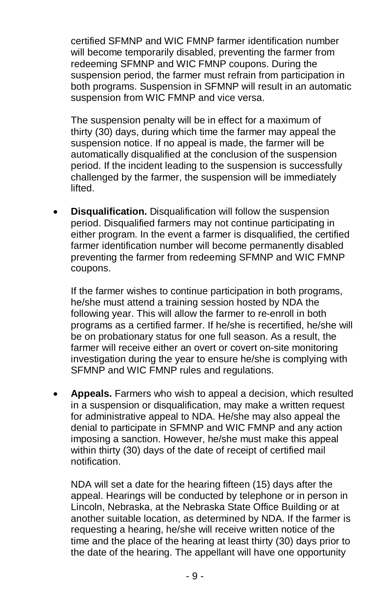certified SFMNP and WIC FMNP farmer identification number will become temporarily disabled, preventing the farmer from redeeming SFMNP and WIC FMNP coupons. During the suspension period, the farmer must refrain from participation in both programs. Suspension in SFMNP will result in an automatic suspension from WIC FMNP and vice versa.

The suspension penalty will be in effect for a maximum of thirty (30) days, during which time the farmer may appeal the suspension notice. If no appeal is made, the farmer will be automatically disqualified at the conclusion of the suspension period. If the incident leading to the suspension is successfully challenged by the farmer, the suspension will be immediately lifted.

• **Disqualification.** Disqualification will follow the suspension period. Disqualified farmers may not continue participating in either program. In the event a farmer is disqualified, the certified farmer identification number will become permanently disabled preventing the farmer from redeeming SFMNP and WIC FMNP coupons.

If the farmer wishes to continue participation in both programs, he/she must attend a training session hosted by NDA the following year. This will allow the farmer to re-enroll in both programs as a certified farmer. If he/she is recertified, he/she will be on probationary status for one full season. As a result, the farmer will receive either an overt or covert on-site monitoring investigation during the year to ensure he/she is complying with SFMNP and WIC FMNP rules and regulations.

• **Appeals.** Farmers who wish to appeal a decision, which resulted in a suspension or disqualification, may make a written request for administrative appeal to NDA. He/she may also appeal the denial to participate in SFMNP and WIC FMNP and any action imposing a sanction. However, he/she must make this appeal within thirty (30) days of the date of receipt of certified mail notification.

NDA will set a date for the hearing fifteen (15) days after the appeal. Hearings will be conducted by telephone or in person in Lincoln, Nebraska, at the Nebraska State Office Building or at another suitable location, as determined by NDA. If the farmer is requesting a hearing, he/she will receive written notice of the time and the place of the hearing at least thirty (30) days prior to the date of the hearing. The appellant will have one opportunity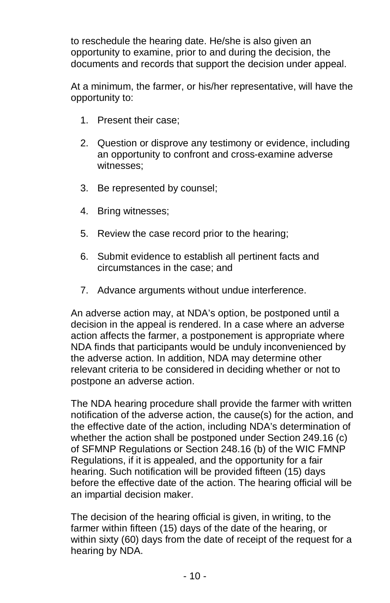to reschedule the hearing date. He/she is also given an opportunity to examine, prior to and during the decision, the documents and records that support the decision under appeal.

At a minimum, the farmer, or his/her representative, will have the opportunity to:

- 1. Present their case;
- 2. Question or disprove any testimony or evidence, including an opportunity to confront and cross-examine adverse witnesses;
- 3. Be represented by counsel;
- 4. Bring witnesses;
- 5. Review the case record prior to the hearing;
- 6. Submit evidence to establish all pertinent facts and circumstances in the case; and
- 7. Advance arguments without undue interference.

An adverse action may, at NDA's option, be postponed until a decision in the appeal is rendered. In a case where an adverse action affects the farmer, a postponement is appropriate where NDA finds that participants would be unduly inconvenienced by the adverse action. In addition, NDA may determine other relevant criteria to be considered in deciding whether or not to postpone an adverse action.

The NDA hearing procedure shall provide the farmer with written notification of the adverse action, the cause(s) for the action, and the effective date of the action, including NDA's determination of whether the action shall be postponed under Section 249.16 (c) of SFMNP Regulations or Section 248.16 (b) of the WIC FMNP Regulations, if it is appealed, and the opportunity for a fair hearing. Such notification will be provided fifteen (15) days before the effective date of the action. The hearing official will be an impartial decision maker.

The decision of the hearing official is given, in writing, to the farmer within fifteen (15) days of the date of the hearing, or within sixty (60) days from the date of receipt of the request for a hearing by NDA.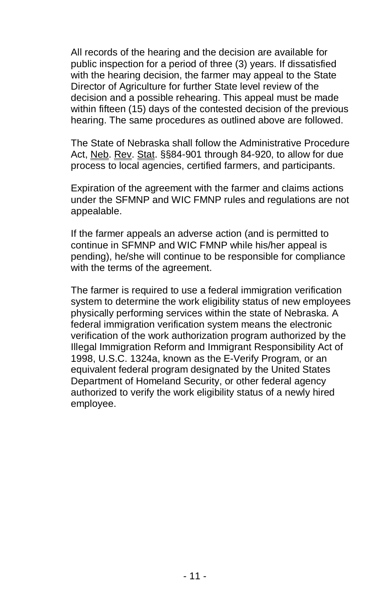All records of the hearing and the decision are available for public inspection for a period of three (3) years. If dissatisfied with the hearing decision, the farmer may appeal to the State Director of Agriculture for further State level review of the decision and a possible rehearing. This appeal must be made within fifteen (15) days of the contested decision of the previous hearing. The same procedures as outlined above are followed.

The State of Nebraska shall follow the Administrative Procedure Act, Neb. Rev. Stat. §§84-901 through 84-920, to allow for due process to local agencies, certified farmers, and participants.

Expiration of the agreement with the farmer and claims actions under the SFMNP and WIC FMNP rules and regulations are not appealable.

If the farmer appeals an adverse action (and is permitted to continue in SFMNP and WIC FMNP while his/her appeal is pending), he/she will continue to be responsible for compliance with the terms of the agreement.

The farmer is required to use a federal immigration verification system to determine the work eligibility status of new employees physically performing services within the state of Nebraska. A federal immigration verification system means the electronic verification of the work authorization program authorized by the Illegal Immigration Reform and Immigrant Responsibility Act of 1998, U.S.C. 1324a, known as the E-Verify Program, or an equivalent federal program designated by the United States Department of Homeland Security, or other federal agency authorized to verify the work eligibility status of a newly hired employee.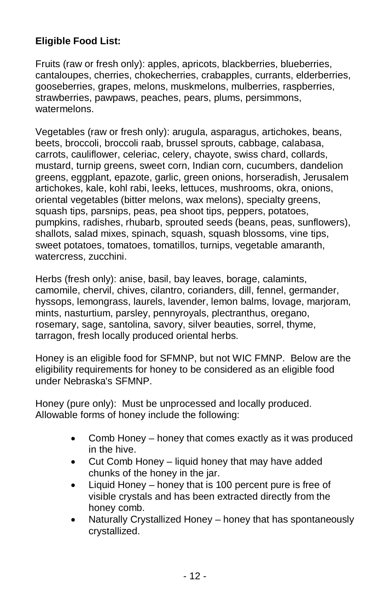## **Eligible Food List:**

Fruits (raw or fresh only): apples, apricots, blackberries, blueberries, cantaloupes, cherries, chokecherries, crabapples, currants, elderberries, gooseberries, grapes, melons, muskmelons, mulberries, raspberries, strawberries, pawpaws, peaches, pears, plums, persimmons, watermelons.

Vegetables (raw or fresh only): arugula, asparagus, artichokes, beans, beets, broccoli, broccoli raab, brussel sprouts, cabbage, calabasa, carrots, cauliflower, celeriac, celery, chayote, swiss chard, collards, mustard, turnip greens, sweet corn, Indian corn, cucumbers, dandelion greens, eggplant, epazote, garlic, green onions, horseradish, Jerusalem artichokes, kale, kohl rabi, leeks, lettuces, mushrooms, okra, onions, oriental vegetables (bitter melons, wax melons), specialty greens, squash tips, parsnips, peas, pea shoot tips, peppers, potatoes, pumpkins, radishes, rhubarb, sprouted seeds (beans, peas, sunflowers), shallots, salad mixes, spinach, squash, squash blossoms, vine tips, sweet potatoes, tomatoes, tomatillos, turnips, vegetable amaranth, watercress, zucchini.

Herbs (fresh only): anise, basil, bay leaves, borage, calamints, camomile, chervil, chives, cilantro, corianders, dill, fennel, germander, hyssops, lemongrass, laurels, lavender, lemon balms, lovage, marjoram, mints, nasturtium, parsley, pennyroyals, plectranthus, oregano, rosemary, sage, santolina, savory, silver beauties, sorrel, thyme, tarragon, fresh locally produced oriental herbs.

Honey is an eligible food for SFMNP, but not WIC FMNP. Below are the eligibility requirements for honey to be considered as an eligible food under Nebraska's SFMNP.

Honey (pure only): Must be unprocessed and locally produced. Allowable forms of honey include the following:

- Comb Honey honey that comes exactly as it was produced in the hive.
- Cut Comb Honey liquid honey that may have added chunks of the honey in the jar.
- Liquid Honey honey that is 100 percent pure is free of visible crystals and has been extracted directly from the honey comb.
- Naturally Crystallized Honey honey that has spontaneously crystallized.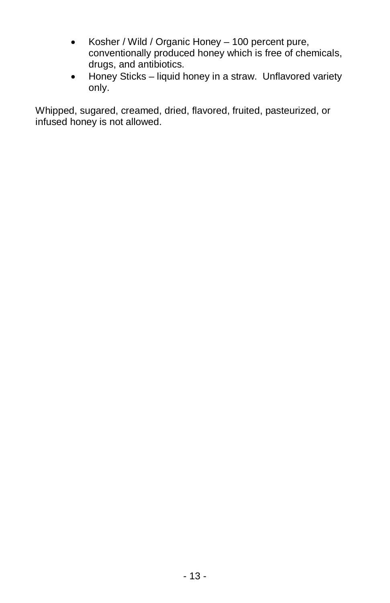- Kosher / Wild / Organic Honey 100 percent pure, conventionally produced honey which is free of chemicals, drugs, and antibiotics.
- Honey Sticks liquid honey in a straw. Unflavored variety only.

Whipped, sugared, creamed, dried, flavored, fruited, pasteurized, or infused honey is not allowed.